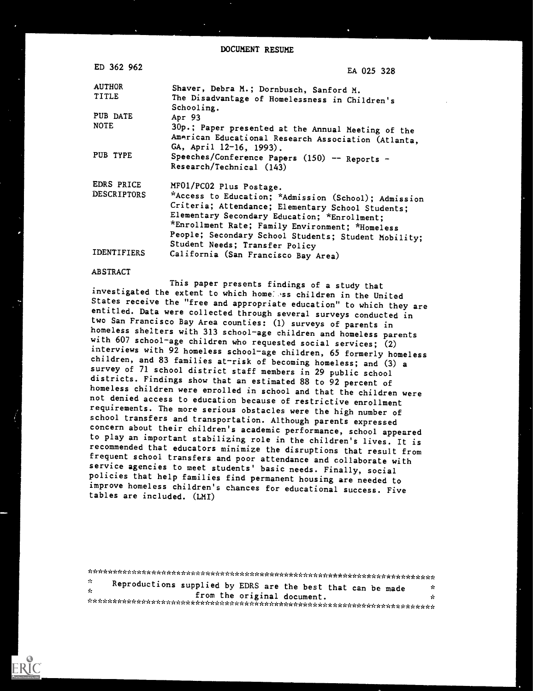| ED 362 962                | EA 025 328                                                                                                                                                                                                                              |
|---------------------------|-----------------------------------------------------------------------------------------------------------------------------------------------------------------------------------------------------------------------------------------|
| <b>AUTHOR</b><br>TITLE    | Shaver, Debra M.; Dornbusch, Sanford M.<br>The Disadvantage of Homelessness in Children's<br>Schooling.                                                                                                                                 |
| PUB DATE                  | Apr 93                                                                                                                                                                                                                                  |
| <b>NOTE</b>               | 30p.; Paper presented at the Annual Meeting of the<br>American Educational Research Association (Atlanta,<br>GA, April 12-16, 1993).                                                                                                    |
| PUB TYPE                  | Speeches/Conference Papers (150) -- Reports -<br>Research/Technical (143)                                                                                                                                                               |
| EDRS PRICE<br>DESCRIPTORS | MF01/PC02 Plus Postage.<br>*Access to Education; *Admission (School); Admission<br>Criteria; Attendance; Elementary School Students;<br>Elementary Secondary Education; *Enrollment;<br>*Enrollment Rate; Family Environment; *Homeless |
| <b>IDENTIFIERS</b>        | People; Secondary School Students; Student Mobility;<br>Student Needs; Transfer Policy<br>California (San Francisco Bay Area)                                                                                                           |

#### ABSTRACT

This paper presents findings of a study that investigated the extent to which home ss children in the United<br>States receive the "free and appropriate education" to which they are entitled. Data were collected through several surveys conducted in two San Francisco Bay Area counties: (1) surveys of parents in with 607 school-age children who requested social services; (2)<br>interviews with 92 homeless school-age children, 65 formerly homeless children, and 83 families at-risk of becoming homeless; and (3) a survey of 71 school district staff members in 29 public school districts. Findings show that an estimated 88 to 92 percent of<br>homeless children were enrolled in school and that the children were not denied access to education because of restrictive enrollment requirements. The more serious obstacles were the high number of school transfers and transportation. Although parents expressed concern about their children's academic performance, school appeared to play an important stabilizing role in the children's lives. It is recommended that educators minimize the disruptions that result from frequent school transfers and poor attendance and collaborate with service agencies to meet students' basic needs. Finally, social policies that help families find permanent housing are needed to improve homeless children's chances for educational success. Five tables are included. (LMI)

| ÷. |                                                              |                             |  |  |  |      |
|----|--------------------------------------------------------------|-----------------------------|--|--|--|------|
| ÷. | Reproductions supplied by EDRS are the best that can be made |                             |  |  |  | - 25 |
|    |                                                              | from the original document. |  |  |  | ×    |
|    |                                                              |                             |  |  |  |      |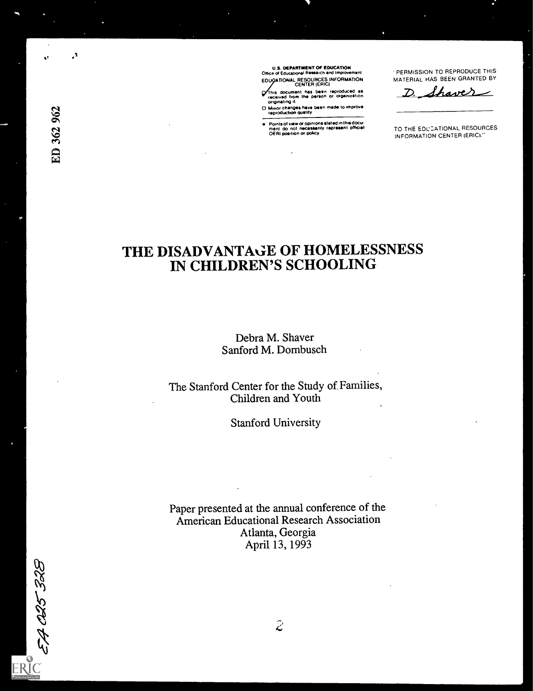ED 362 962

 $\mathbf{A}$ 

-Mk

U.S. DEPARTMENT OF EDUCATION 011.ce of Educational Research and Improvement EDUCATIONAL RESOURCES INFORMATION

This document has been reproduced as<br>corrected from the person or organization<br>corginating it<br>D. Minor changes have been made to improve<br>reproduction quality

Points of view or opinions stated in this docu-<br>ment :do: not inecessarily represent official<br>OERI position or policy

 $\ddot{\phantom{a}}$ 

PERMISSION TO REPRODUCE THIS MATERIAL HAS BEEN GRANTED BY

D. Shaver

TO THE EDUCATIONAL RESOURCES INFORMATION CENTER (ERIC)."

# THE DISADVANTAGE OF HOMELESSNESS IN CHILDREN'S SCHOOLING

Debra M. Shaver Sanford M. Dombusch

The Stanford Center for the Study of Families, Children and Youth

Stanford University

Paper presented at the annual conference of the American Educational Research Association Atlanta, Georgia April 13, 1993

EA 025 328 ERIC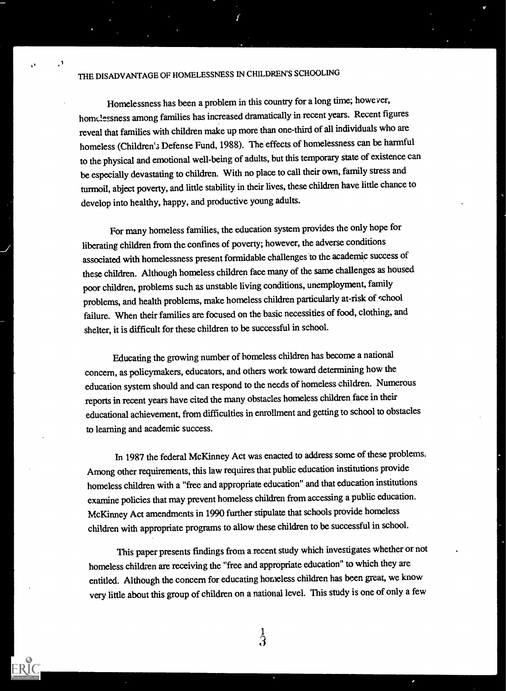$\mathcal{L}_{\parallel}$  and  $\mathcal{L}_{\parallel}$ 

Homelessness has been a problem in this country for a long time; howe ver, homalessness among families has increased dramatically in recent years. Recent figures reveal that families with children make up more than one-third of all individuals who are homeless (Children's Defense Fund, 1988). The effects of homelessness can be harmful to the physical and emotional well-being of adults, but this temporary state of existence can be especially devastating to children. With no place to call their own, family stress and turmoil, abject poverty, and little stability in their lives, these children have little chance to develop into healthy, happy, and productive young adults.

 $\mathbf{1}$ 

For many homeless families, the education system provides the only hope for liberating children from the confmes of poverty; however, the adverse conditions associated with homelessness present formidable challenges 'to the academic success of these children. Although homeless children face many of the same challenges as housed poor children, problems such as unstable living conditions, unemployment, family problems, and health problems, make homeless children particularly at-risk of school failure. When their families are focused on the basic necessities of food, clothing, and shelter, it is difficult for these children to be successful in school.

Educating the growing number of homeless children has become a national concern, as policymakers, educators, and others work toward determining how the education system should and can respond to the needs of homeless children. Numerous reports in recent years have cited the many obstacles homeless children face in their educational achievement, from difficulties in enrollment and getting to school to obstacles to learning and academic success.

In 1987 the federal McKinney Act was enacted to address some of these problems. Among other requirements, this law requires that public education institutions provide homeless children with a "free and appropriate education" and that education institutions examine policies that may prevent homeless children from accessing a public education. McKinney Act amendments in 1990 further stipulate that schools provide homeless children with appropriate programs to allow these children tobe successful in school.

This paper presents findings from a recent study which investigates whether or not homeless children are receiving the "free and appropriate education" to which they are entitled. Although the concern for educating homeless children has been great, we know very little about this group of children on a national level. This study is one of only a few

 $\frac{1}{3}$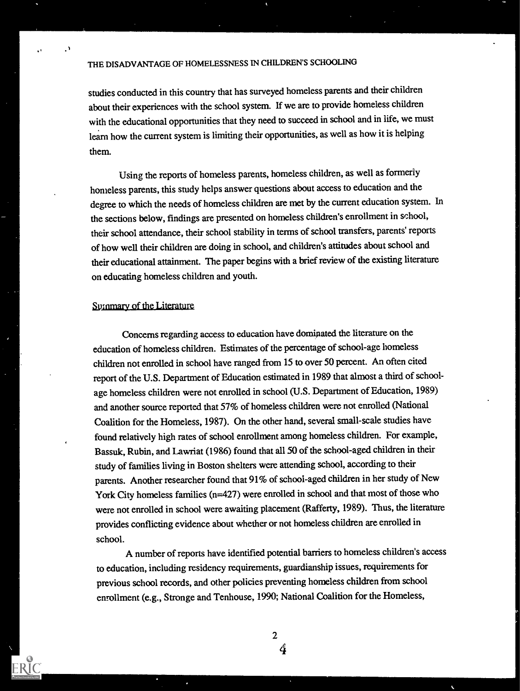studies conducted in this country that has surveyed homeless parents and their children about their experiences with the school system. If we are to provide homeless children with the educational opportunities that they need to succeed in school and in life, we must learn how the current system is limiting their opportunities, as well as how it is helping them.

Using the reports of homeless parents, homeless children, as well as formerly homeless parents, this study helps answer questions about access to education and the degree to which the needs of homeless children are met by the current education system. In the sections below, findings are presented on homeless children's enrollment in school, their school attendance, their school stability in terms of school transfers, parents' reports of how well their children are doing in school, and children's attitudes about school and their educational attainment. The paper begins with a brief review of the existing literature on educating homeless children and youth.

#### Summary of the Literature

Concerns regarding access to education have dominated the literature on the education of homeless children. Estimates of the percentage of school-age homeless children not enrolled in school have ranged from 15 to over 50 percent. An often cited report of the U.S. Department of Education estimated in 1989 that almost a third of schoolage homeless children were not enrolled in school (U.S. Department of Education, 1989) and another source reported that 57% of homeless children were not enrolled (National Coalition for the Homeless, 1987). On the other hand, several small-scale studies have found relatively high rates of school enrollment among homeless children. For example, Bassuk, Rubin, and Lawriat (1986) found that all 50 of the school-aged children in their study of families living in Boston shelters were attending school, according to their parents. Another researcher found that 91% of school-aged children in her study of New York City homeless families (n=427) were enrolled in school and that most of those who were not enrolled in school were awaiting placement (Rafferty, 1989). Thus, the literature provides conflicting evidence about whether or not homeless children are enrolled in school.

A number of reports have identified potential barriers to homeless children's access to education, including residency requirements, guardianship issues, requirements for previous school records, and other policies preventing homeless children from school enrollment (e.g., Stronge and Tenhouse, 1990; National Coalition for the Homeless,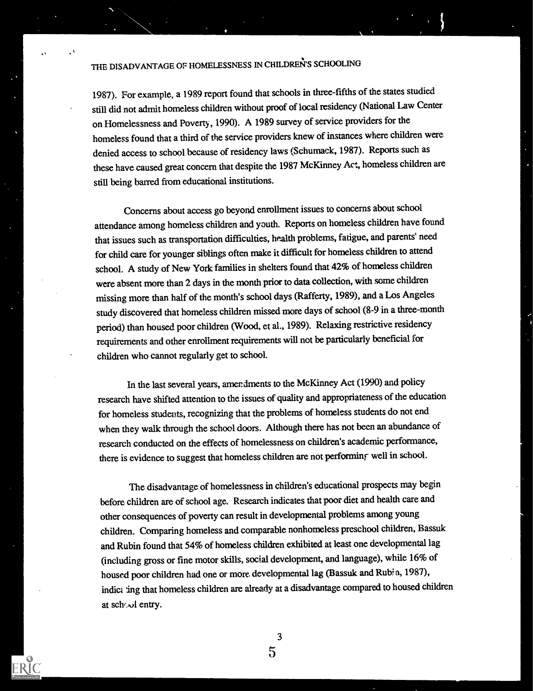1987). For example, a 1989 report found that schools in three-fifths of the states studied still did not admit homeless children without proof of local residency (National Law Center on Homelessness and Poverty, 1990). A 1989 survey of service providers for the homeless found that a third of the service providers knewof instances where children were denied access to school because of residency laws(Schumack, 1987). Reports such as these have caused great concern that despite the 1987 McKinney Act, homeless children are still being barred from educational institutions.

Concerns about access go beyond enrollment issues to concerns about school attendance among homeless children and youth. Reports on homeless children have found that issues such as transportation difficulties, health problems, fatigue, and parents' need for child care for younger siblings often make it difficult for homeless children to attend school. A study of New York families in shelters found that 42% of homeless children were absent more than 2 days in the month prior to data collection, with some children missing more than half of the month's school days (Rafferty, 1989), and a Los Angeles study discovered that homeless children missed more days of school (8-9 in a three-month period) than housed poor children (Wood, et al., 1989). Relaxing restrictive residency requirements and other enrollment requirements will not be particularly beneficial for children who cannot regularly get to school.

In the last several years, amendments to the McKinney Act (1990) and policy research have shifted attention to the issues of quality and appropriateness of the education for homeless students, recognizing that the problems of homeless students do not end when they walk through the school doors. Although there has not been an abundance of research conducted on the effects of homelessness on children's academic performance, there is evidence to suggest that homeless children are not performing well in school.

The disadvantage of homelessness in children's educational prospects may begin before children are of school age. Research indicates that poor diet and health care and other consequences of poverty can result in developmental problems among young children. Comparing homeless and comparable nonhomeless preschool children, Bassuk and Rubin found that 54% of homeless children exhibited at least one developmental lag (including gross or fine motor skills, social development, and language), while 16% of housed poor children had one or more developmental lag (Bassuk and Rubi n, 1987), indict ing that homeless children are already at a disadvantage compared to housed children at schr.v1 entry.

3

 $\overline{5}$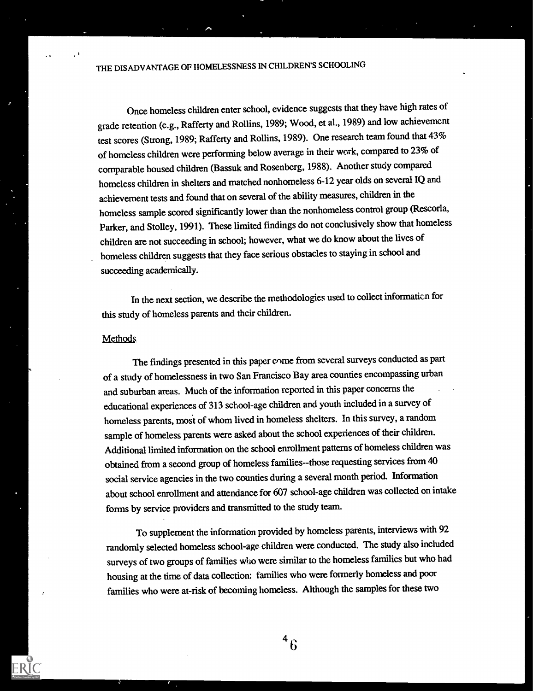Once homeless children enter school, evidence suggests that they have high rates of grade retention (e.g., Rafferty and Rollins, 1989; Wood, et al., 1989) and low achievement test scores (Strong, 1989; Rafferty and Rollins, 1989). One research team found that  $43\%$ of homeless children were performing below average in their work, compared to 23% of comparable housed children (Bassuk and Rosenberg, 1988). Another study compared homeless children in shelters and matched nonhomeless 6-12 year olds on several IQ and achievement tests and found that on several of the ability measures, children in the homeless sample scored significantly lower than the nonhomeless control group (Rescorla, Parker, and Stolley, 1991). These limited findings do not conclusively show that homeless children are not succeeding in school; however, what we do know about the lives of homeless children suggests that they face serious obstacles to staying in school and succeeding academically.

In the next section, we describe the methodologies used to collect informaticn for this study of homeless parents and their children.

#### Methods.

The findings presented in this paper come from several surveys conducted as part of a study of homelessness in two San Francisco Bay area counties encompassing urban and suburban areas. Much of the information reported in this paper concerns the educational experiences of 313 school-age children and youth included in a survey of homeless parents, mosi of whom lived in homeless shelters. In this survey, a random sample of homeless parents were asked about the school experiences of their children. Additional limited information on the school enrollment patterns of homeless children was obtained from a second group of homeless families--those requesting services from 40 social service agencies in the two counties during a several month period. Information about school enrollment and attendance for 607 school-age children was collected on intake forms by service providers and transmitted to the study team.

To supplement the information provided by homeless parents, interviews with 92 randomly selected homeless school-age children were conducted. The study also included surveys of two groups of families who were similar to the homeless families but who had housing at the time of data collection; families who were formerly homeless and poor families who were at-risk of becoming homeless. Although the samples for these two

> $4\degree$  $\boldsymbol{\mathsf{u}}$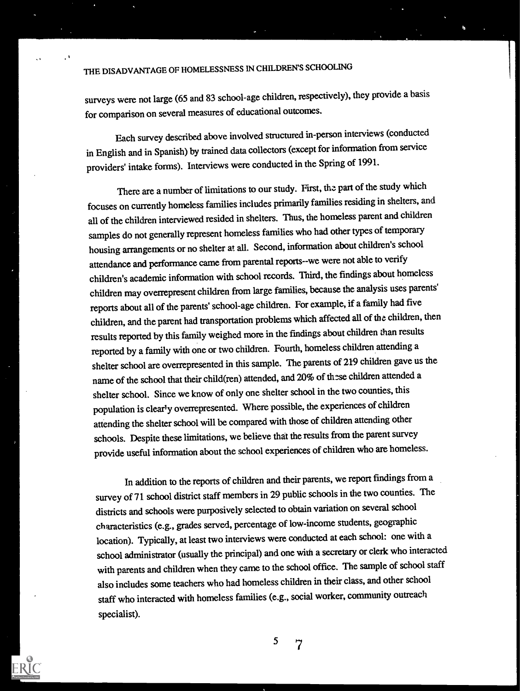surveys were not large (65 and 83 school-age children, respectively), they provide a basis for comparison on several measures of educational outcomes.

Each survey described above involved structured in-person interviews (conducted in English and in Spanish) by trained data collectors (except for information from service providers' intake forms). Interviews were conducted in the Spring of 1991.

There are a number of limitations to our study. First, the part of the study which focuses on currently homeless families includes primarily families residing in shelters, and all of the children interviewed resided in shelters. Thus, the homeless parent and children samples do not generally represent homeless families who had other types of temporary housing arrangements or no shelter at all. Second, information about children's school attendance and performance came from parental reports--we were not able to verify children's academic information with school records. Third, the findings about homeless children may overrepresent children from large families, because the analysis uses parents' reports about all of the parents' school-age children. For example, if a family had five children, and the parent had transportation problems which affected all of the children, then results reported by this family weighed more in the findings about children than results reported by a family with one or two children. Fourth, homeless children attending a shelter school are overrepresented in this sample. The parents of 219 children gave us the name of the school that their child(ren) attended, and 20% of these children attended a shelter school. Since we know of only one shelter school in the two counties, this population is clearly overrepresented. Where possible, the experiences of children attending the shelter school will be compared with those of children attending other schools. Despite these limitations, we believe that the results from the parent survey provide useful information about the school experiences of children who are homeless.

In addition to the reports of children and their parents, we report findings from a survey of 71 school district staff members in 29 public schools in the two counties. The districts and schools were purposively selected to obtain variation on several school characteristics (e.g., grades serve4, percentage of low-income students, geographic location). Typically, at least two interviews were conducted at each school: one with a school administrator (usually the principal) and one with a secretary or clerk who interacted with parents and children when they came to the school office. The sample of school staff also includes some teachers who had homeless children in their class, and other school staff who interacted with homeless families (e.g., social worker, community outreach specialist).

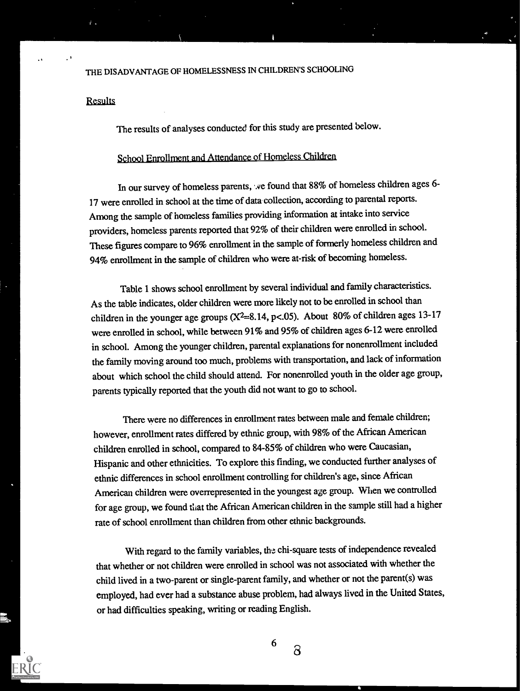#### Results

The results of analyses conducted for this study are presented below.

# School Enrollment and Attendance of Homeless Children

In our survey of homeless parents, we found that 88% of homeless children ages 6-17 were enrolled in school at the time of data collection, according to parental reports. Among the sample of homeless families providing information at intake into service providers, homeless parents reported that 92% of their children were enrolled in school. These figures compare to 96% enrollment in the sample of formerly homeless children and 94% enrollment in the sample of children who were at-risk of becoming homeless.

Table 1 shows school enrollment by several individual and family characteristics. As the table indicates, older children were more likely not to be enrolled in school than children in the younger age groups  $(X^2=8.14, p<.05)$ . About 80% of children ages 13-17 were enrolled in school, while between 91% and 95% of children ages 6-12 were enrolled in school. Among the younger children, parental explanations for nonenrollment included the family moving around too much, problems with transportation, and lack of information about which school the child should attend. For nonenrolled youth in the older age group, parents typically reported that the youth did not want to go to school.

There were no differences in enrollment rates between male and female children; however, enrollment rates differed by ethnic group, with 98% of the African American children enrolled in school, compared to 84-85% of children who were Caucasian, Hispanic and other ethnicities. To explore this finding, we conducted further analyses of ethnic differences in school enrollment controlling for children's age, since African American children were overrepresented in the youngest age group. When wecontolled for age group, we found that the African American children in the sample still had a higher rate of school enrollment than children from other ethnic backgrounds.

With regard to the family variables, the chi-square tests of independence revealed that whether or not children were enrolled in school was not associated with whether the child lived in a two-parent or single-parent family, and whether or not the parent(s) was employed, had ever had a substance abuse problem, had always lived in the United States, or had difficulties speaking, writing or reading English.

8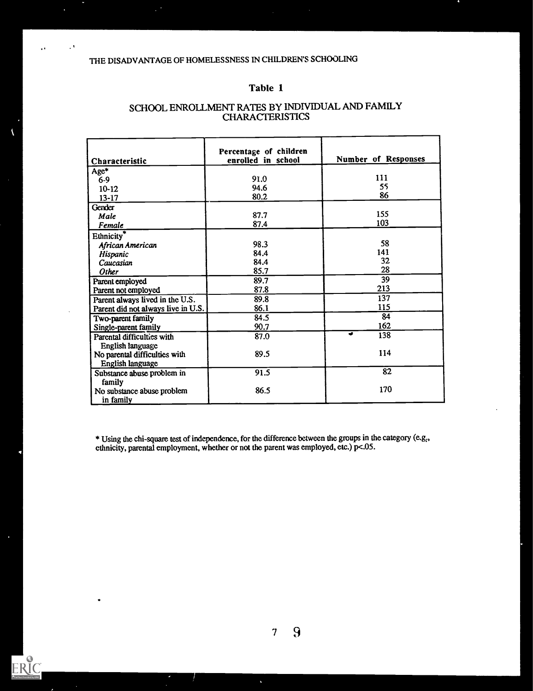$\ddot{\phantom{0}}$ 

 $\mathbf{A}$ 

٠

ERI<sup>(</sup>

÷,

#### Table 1

#### SCHOOL ENROLLMENT RATES BY INDIVIDUAL AND FAMILY CHARACTERISTICS

| Characteristic                                                        | Percentage of children<br>enrolled in school | Number of Responses |
|-----------------------------------------------------------------------|----------------------------------------------|---------------------|
| $Age*$                                                                |                                              |                     |
| $6-9$                                                                 | 91.0                                         | 111                 |
| $10-12$                                                               | 94.6                                         | 55                  |
| $13-17$                                                               | 80.2                                         | 86                  |
| Gender                                                                |                                              |                     |
| Male                                                                  | 87.7                                         | 155                 |
| Female                                                                | 87.4                                         | 103                 |
| Ethnicity <sup>*</sup>                                                |                                              |                     |
| African American                                                      | 98.3                                         | 58                  |
| Hispanic                                                              | 84.4                                         | 141                 |
| Caucasian                                                             | 84.4                                         | 32                  |
| Other                                                                 | 85.7                                         | 28                  |
| Parent employed                                                       | 89.7                                         | 39                  |
| Parent not employed                                                   | 87.8                                         | 213                 |
| Parent always lived in the U.S.                                       | 89.8                                         | 137                 |
| Parent did not always live in U.S.                                    | 86.1                                         | 115                 |
| Two-parent family                                                     | 84.5                                         | 84                  |
| Single-parent family                                                  | 90.7                                         | 162                 |
| Parental difficulties with                                            | 87.0                                         | 138                 |
| English language<br>No parental difficulties with<br>English language | 89.5                                         | 114                 |
| Substance abuse problem in<br>family                                  | 91.5                                         | 82                  |
| No substance abuse problem<br>in family                               | 86.5                                         | 170                 |

\* Using the chi-square test of independence, for the difference between the groups in the category (e.g., ethnicity, parental employment, whether or not the parent was employed, etc.) p<.05.

> 9

 $\ddot{\phantom{1}}$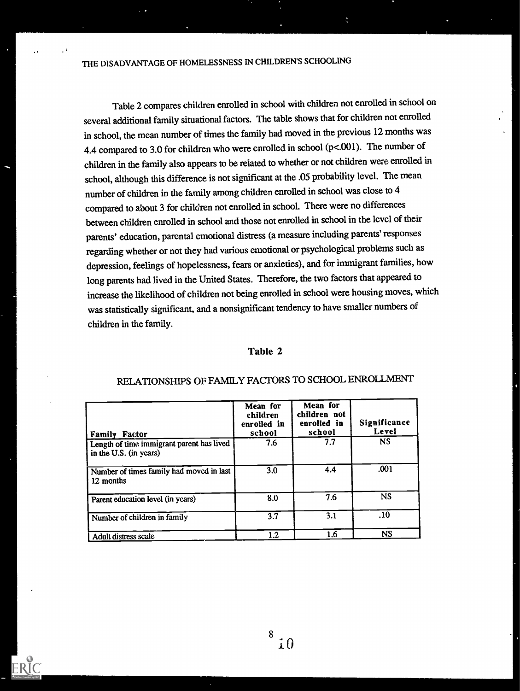Table 2 compares children enrolled in school with children not enrolled in school on several additional family situational factors. The table shows that for children not enrolled in school, the mean number of times the family had moved in the previous 12 months was 4.4 compared to 3.0 for children who were enrolled in school (p<.001). The number of children in the family also appears to be related to whether or not children were enrolled in school, although this difference is not significant at the .05 probability level. The mean number of children in the family among children enrolled in school was close to 4 compared to about 3 for children not enrolled in school. There were no differences between children enrolled in school and those not enrolled in school in the level of their parents' education, parental emotional distress (a measure including parents' responses regarding whether or not they had various emotional or psychological problems such as depression, feelings of hopelessness, fears or anxieties), and for immigrant families, how long parents had lived in the United States. Therefore, the two factors that appeared to increase the likelihood of children not being enrolled in school were housing moves, which was statistically significant, and a nonsignificant tendency to have smaller numbers of children in the family.

#### Table 2

| <b>Family Factor</b>                                                | Mean for<br>children<br>enrolled in<br>school | Mean for<br>children not<br>enrolled in<br>school | Significance<br>Level |
|---------------------------------------------------------------------|-----------------------------------------------|---------------------------------------------------|-----------------------|
| Length of time immigrant parent has lived<br>in the U.S. (in years) | 7.6                                           | 7.7                                               | <b>NS</b>             |
| Number of times family had moved in last<br>12 months               | 3.0                                           | 4.4                                               | .001                  |
| Parent education level (in years)                                   | 8.0                                           | 7.6                                               | <b>NS</b>             |
| Number of children in family                                        | 3.7                                           | 3.1                                               | .10                   |
| Adult distress scale                                                | 1.2                                           | 1.6                                               | <b>NS</b>             |

## RELATIONSHIPS OF FAMILY FACTORS TO SCHOOLENROLLMENT

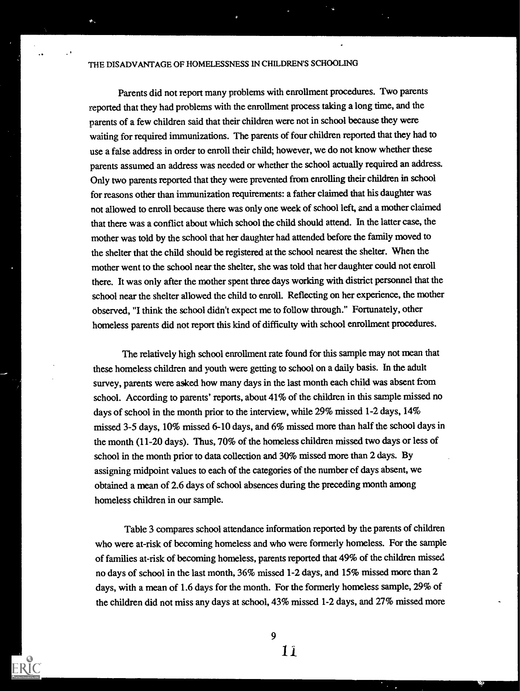Parents did not report many problems with enrollment procedures. Two parents reported that they had problems with the enrollment process taking a long time, and the parents of a few children said that their children were not in school because they were waiting for required immunizations. The parents of four children reported that they had to use a false address in order to enroll their child; however, we do not know whether these parents assumed an address was needed or whether the school actually required an address. Only two parents reported that they were prevented from enrolling their children in school for reasons other than immunization requirements: a father claimed that his daughter was not allowed to enroll because there was only one week of school left, and a mother claimed that there was a conflict about which school the child should attend. In the latter case, the mother was told by the school that her daughter had attended before the family moved to the shelter that the child should be registered at the school nearest the shelter. When the mother went to the school near the shelter, she was told that her daughter could not enroll there. It was only after the mother spent three days working with district personnel that the school near the shelter allowed the child to enroll. Reflecting on her experience, the mother observed, "I think the school didn't expect me to follow through." Fortunately, other homeless parents did not report this kind of difficulty with school enrollment procedures.

The relatively high school enrollment rate found for this sample may not mean that these homeless children and youth were getting to school on a daily basis. In the adult survey, parents were asked how many days in the last month each child was absent from school. According to parents' reports, about 41% of the children in this sample missed no days of school in the month prior to the interview, while 29% missed 1-2 days, 14% missed 3-5 days, 10% missed 6-10 days, and 6% missed more than half the school days in the month (11-20 days). Thus, 70% of the homeless children missed two days or less of school in the month prior to data collection and 30% missed more than 2 days. By assigning midpoint values to each of the categories of the number of days absent, we obtained a mean of 2.6 days of school absences during the preceding month among homeless children in our sample.

Table 3 compares school attendance information reported by the parents of children who were at-risk of becoming homeless and who were formerly homeless. For the sample of families at-risk of becoming homeless, parents reported that 49% of the children missed no days of school in the last month, 36% missed 1-2 days, and 15% missed more than 2 days, with a mean of 1.6 days for the month. For the formerly homeless sample, 29% of the children did not miss any days at school, 43% missed 1-2 days, and 27% missed more

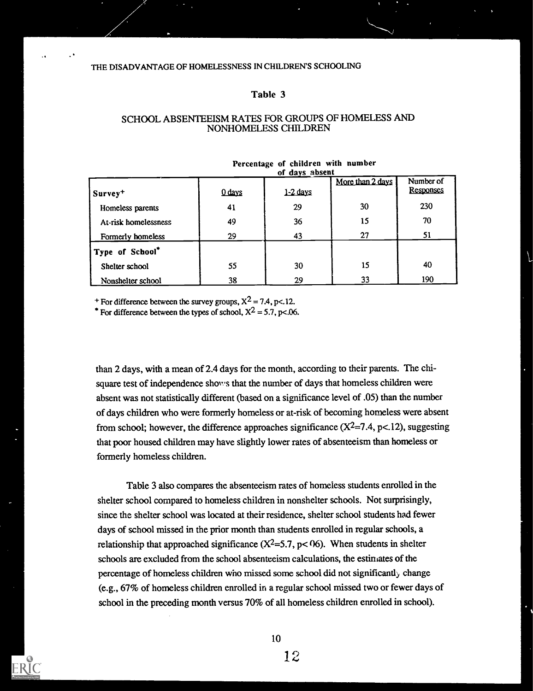#### Table 3

|                      | of days absent |          |                  |                        |  |  |
|----------------------|----------------|----------|------------------|------------------------|--|--|
| Survey <sup>+</sup>  | 0 days         | 1-2 days | More than 2 days | Number of<br>Responses |  |  |
| Homeless parents     | 41             | 29       | 30               | 230                    |  |  |
| At-risk homelessness | 49             | 36       | 15               | 70                     |  |  |
| Formerly homeless    | 29             | 43       | 27               | 51                     |  |  |
| Type of School*      |                |          |                  |                        |  |  |
| Shelter school       | 55             | 30       | 15               | 40                     |  |  |
| Nonshelter school    | 38             | 29       | 33               | 190                    |  |  |

# SCHOOL ABSENTEEISM RATES FOR GROUPS OF HOMELESS AND NONHOMELESS CHILDREN

Percentage of children with number

<sup>+</sup> For difference between the survey groups,  $X^2 = 7.4$ , p<.12.

\* For difference between the types of school,  $X^2 = 5.7$ , p<.06.

than 2 days, with a mean of 2.4 days for the month, according to their parents. The chisquare test of independence shows that the number of days that homeless children were absent was not statistically different (based on a significance level of .05) than the number of days children who were formerly homeless or at-risk of becoming homeless were absent from school; however, the difference approaches significance  $(X^2=7.4, p<.12)$ , suggesting that poor housed children may have slightly lower rates of absenteeism than homeless or formerly homeless children.

Table 3 also compares the absenteeism rates of homeless students enrolled in the shelter school compared to homeless children in nonshelter schools. Not surprisingly, since the shelter school was located at their residence, shelter school students had fewer days of school missed in the prior month than students enrolled in regular schools, a relationship that approached significance  $(X^2=5.7, p< 0.6)$ . When students in shelter schools are excluded from the school absenteeism calculations, the estimates of the percentage of homeless children who missed some school did not significantly change (e.g., 67% of homeless children enrolled in a regular school missed two or fewer days of school in the preceding month versus 70% of all homeless children enrolled in school).

10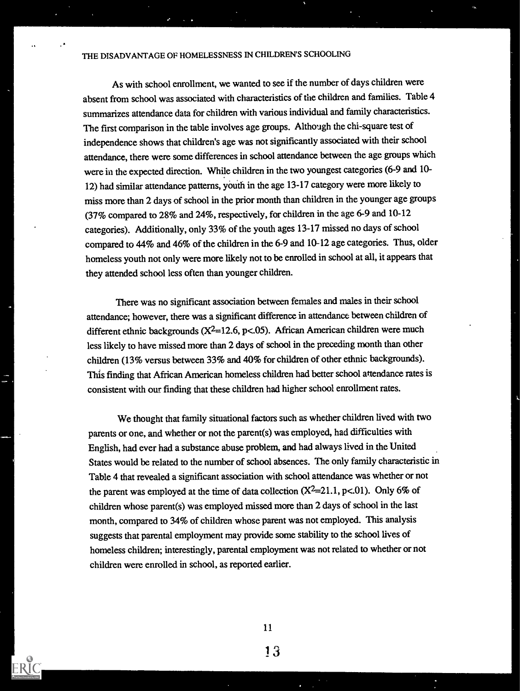As with school enrollment, we wanted to see if the number of days children were absent from school was associated with characteristics of the children and families. Table 4 summarizes attendance data for children with various individual and family characteristics. The first comparison in the table involves age groups. Although the chi-square test of independence shows that children's age was not significantly associated with their school attendance, there were some differences in school attendance between the age groups which were in the expected direction. While children in the two youngest categories (6-9 and 10- 12) had similar attendance patterns, youth in the age 13-17 category were more likely to miss more than 2 days of school in the prior month than children in the younger age groups (37% compared to 28% and 24%, respectively, for children in the age 6-9 and 10-12 categories). Additionally, only 33% of the youth ages 13-17 missed no days of school compared to 44% and 46% of the children in the 6-9 and 10-12 age categories. Thus, older homeless youth not only were more likely not to be enrolled in school at all, it appears that they attended school less often than younger children.

There was no significant association between females and males in their school attendance; however, there was a significant difference in attendance between children of different ethnic backgrounds ( $X^2$ =12.6, p<.05). African American children were much less likely to have missed more than 2 days of school in the preceding month than other children (13% versus between 33% and 40% for children of other ethnic backgrounds). This finding that African American homeless children had better school attendance rates is consistent with our finding that these children had higher school enrollment rates.

We thought that family situational factors such as whether children lived with two parents or one, and whether or not the parent(s) was employed, had difficulties with English, had ever had a substance abuse problem, and had always lived in the United States would be related to the number of school absences. The only family characteristic in Table 4 that revealed a significant association with school attendance was whether or not the parent was employed at the time of data collection  $(X^2=21.1, p<.01)$ . Only 6% of children whose parent(s) was employed missed more than 2 days of school in the last month, compared to 34% of children whose parent was not employed. This analysis suggests that parental employment may provide some stability to the school lives of homeless children; interestingly, parental employment was not related to whether or not children were enrolled in school, as reported earlier.



11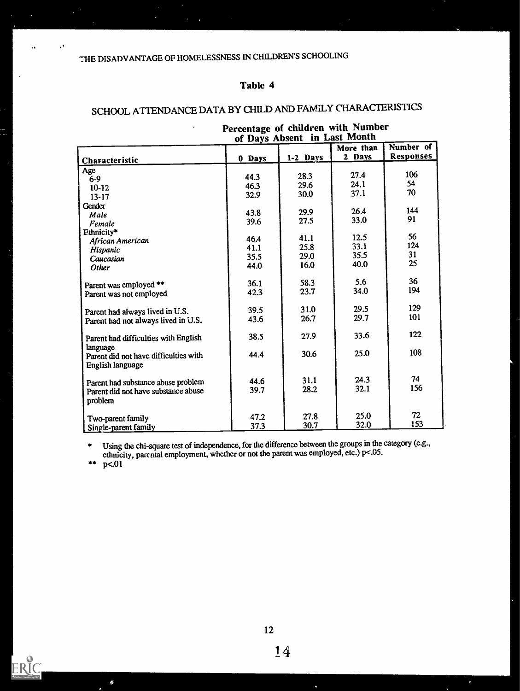## Table 4

| Percentage of children with Number<br>of Days Absent in Last Month |        |          |                     |                               |  |
|--------------------------------------------------------------------|--------|----------|---------------------|-------------------------------|--|
| Characteristic                                                     | 0 Days | 1-2 Days | More than<br>2 Days | Number of<br><b>Responses</b> |  |
| Age                                                                |        |          |                     |                               |  |
| $6-9$                                                              | 44.3   | 28.3     | 27.4                | 106                           |  |
| $10-12$                                                            | 46.3   | 29.6     | 24.1                | 54                            |  |
| $13 - 17$                                                          | 32.9   | 30.0     | 37.1                | 70                            |  |
| Gender                                                             |        |          |                     |                               |  |
| Male                                                               | 43.8   | 29.9     | 26.4                | 144                           |  |
| Female                                                             | 39.6   | 27.5     | 33.0                | 91                            |  |
| Ethnicity*                                                         |        |          |                     |                               |  |
| African American                                                   | 46.4   | 41.1     | 12.5                | 56                            |  |
| Hispanic                                                           | 41.1   | 25.8     | 33.1                | 124                           |  |
| Caucasian                                                          | 35.5   | 29.0     | 35.5                | 31                            |  |
| Other                                                              | 44.0   | 16.0     | 40.0                | 25                            |  |
|                                                                    |        |          |                     |                               |  |
|                                                                    | 36.1   | 58.3     | 5.6                 | 36                            |  |
| Parent was employed **                                             | 42.3   | 23.7     | 34.0                | 194                           |  |
| Parent was not employed                                            |        |          |                     |                               |  |
|                                                                    | 39.5   | 31.0     | 29.5                | 129                           |  |
| Parent had always lived in U.S.                                    | 43.6   | 26.7     | 29.7                | 101                           |  |
| Parent had not always lived in U.S.                                |        |          |                     |                               |  |
|                                                                    | 38.5   | 27.9     | 33.6                | 122                           |  |
| Parent had difficulties with English                               |        |          |                     |                               |  |
| language                                                           | 44.4   | 30.6     | 25.0                | 108                           |  |
| Parent did not have difficulties with                              |        |          |                     |                               |  |
| English language                                                   |        |          |                     |                               |  |
|                                                                    |        | 31.1     | 24.3                | 74                            |  |
| Parent had substance abuse problem                                 | 44.6   | 28.2     | 32.1                | 156                           |  |
| Parent did not have substance abuse                                | 39.7   |          |                     |                               |  |
| problem                                                            |        |          |                     |                               |  |
|                                                                    |        |          |                     | 72                            |  |
| Two-parent family                                                  | 47.2   | 27.8     | 25.0                | 153                           |  |
| Single-parent family                                               | 37.3   | 30.7     | 32.0                |                               |  |

# SCHOOL ATTENDANCE DATA BY CHILD AND FAMILY CHARACTERISTICS

Using the chi-square test of independence, for the difference between the groups in the category (e.g., ethnicity, parental employment, whether or not the parent was employed, etc.) p<.05.

\*\*  $p<.01$ 

 $\pmb{\sigma}$ 

 $\ddot{\phantom{a}}$ 

 $\ddot{\phantom{a}}$ 

L



ä,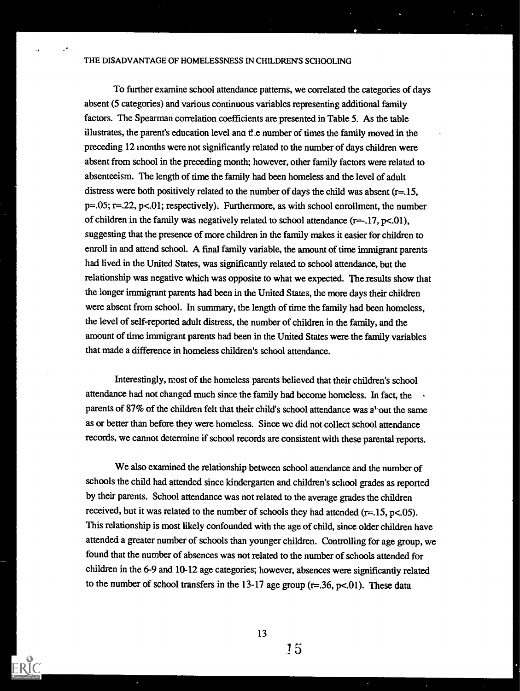To further examine school attendance patterns, we correlated the categories of days absent (5 categories) and various continuous variables representing additional family factors. The Spearman correlation coefficients are presented in Table 5. As the table illustrates, the parent's education level and  $t$  e number of times the family moved in the preceding 12 months were not significantly related to the number of days children were absent from school in the preceding month; however, other family factors were related to absenteeism. The length of time the family had been homeless and the level of adult distress were both positively related to the number of days the child was absent  $(r=.15, ...)$  $p=.05; r=.22, p<.01;$  respectively). Furthermore, as with school enrollment, the number of children in the family was negatively related to school attendance  $(r=-.17, p<.01)$ , suggesting that the presence of more children in the family makes it easier for children to enroll in and attend school. A final family variable, the amount of time immigrant parents had lived in the United States, was significantly related to school attendance, but the relationship was negative which was opposite to what we expected. The results show that the longer immigrant parents had been in the United States, the more days their children were absent from school. In summary, the length of time the family had been homeless, the level of self-reported adult distress, the number of children in the family, and the amount of time immigrant parents had been in the United States were the family variables that made a difference in homeless children's school attendance.

Interestingly, most of the homeless parents believed that their children's school attendance had not changed much since the family had become homeless. In fact, the parents of 87% of the children felt that their child's school attendance was a<sup>t-</sup>out the same as or better than before they were homeless. Since we did not collect school attendance records, we cannot determine if school records are consistent with these parental reports.

We also examined the relationship between school attendance and the number of schools the child had attended since kindergarten and children's school grades as reported by their parents. School attendance was not related to the average grades the children received, but it was related to the number of schools they had attended  $(r=.15, p<.05)$ . This relationship is most likely confounded with the age of child, since older children have attended a greater number of schools than younger children. Controlling for age group, we found that the number of absences was not related to the number of schools attended for children in the 6-9 and 10-12 age categories; however, absences were significantly related to the number of school transfers in the 13-17 age group  $(r=.36, p<.01)$ . These data



13

! 5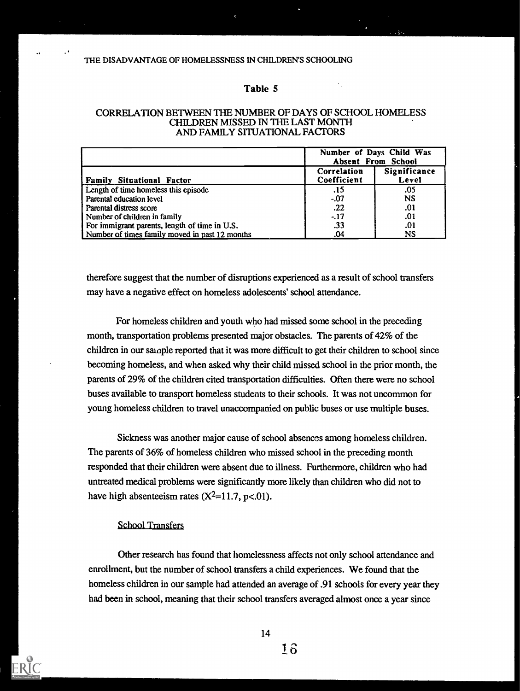#### Table 5

|                                                |                            | Number of Days Child Was<br>Absent From School |  |  |
|------------------------------------------------|----------------------------|------------------------------------------------|--|--|
| <b>Family Situational Factor</b>               | Correlation<br>Coefficient | Significance<br>Level                          |  |  |
| Length of time homeless this episode           | .15                        | .05                                            |  |  |
| Parental education level                       | -.07                       | <b>NS</b>                                      |  |  |
| Parental distress score                        | .22                        | .01                                            |  |  |
| Number of children in family                   | $-17$                      | .01                                            |  |  |
| For immigrant parents, length of time in U.S.  | .33                        | .01                                            |  |  |
| Number of times family moved in past 12 months | .04                        | NS                                             |  |  |

#### CORRELATION BETWEEN THE NUMBER OF DAYS OF SCHOOL HOMELESS CHILDREN MISSED IN THE LAST MONTH AND FAMILY SITUATIONAL FACTORS

therefore suggest that the number of disruptions experienced as a result of school transfers may have a negative effect on homeless adolescents' school attendance.

For homeless children and youth who had missed some school in the preceding month, transportation problems presented major obstacles. The parents of 42% of the children in our sainple reported that it was more difficult to get their children to school since becoming homeless, and when asked why their child missed school in the prior month, the parents of 29% of the children cited transportation difficulties. Often there were no school buses available to transport homeless students to their schools. It was not uncommon for young homeless children to travel unaccompanied on public buses or use multiple buses.

Sickness was another major cause of school absences among homeless children. The parents of 36% of homeless children who missed school in the preceding month responded that their children were absent due to illness. Furthermore, children who had untreated medical problems were significantly more likely than children who did not to have high absenteeism rates  $(X^2=11.7, p<.01)$ .

#### School Transfers

Other research has found that homelessness affects not only school attendance and enrollment, but the number of school transfers a child experiences. We found that the homeless children in our sample had attended an average of .91 schools for every year they had been in school, meaning that their school transfers averaged almost once a year since

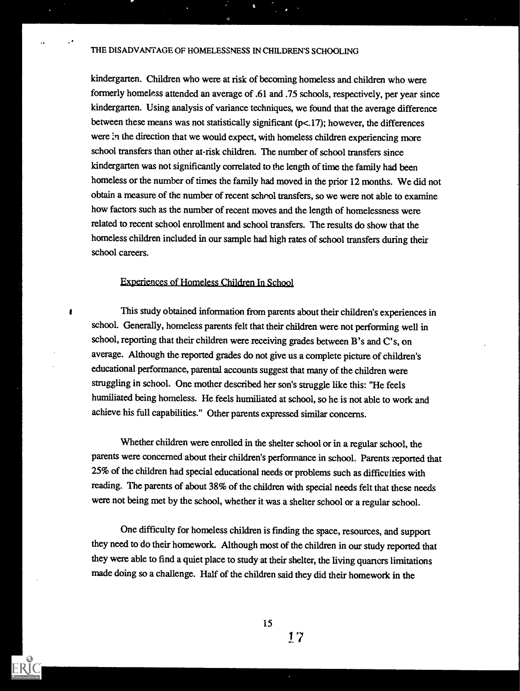kindergarten. Children who were at risk of becoming homeless and children who were formerly homeless attended an average of .61 and .75 schools, respectively, per year since kindergarten. Using analysis of variance techniques, we found that the average difference between these means was not statistically significant  $(p<.17)$ ; however, the differences were in the direction that we would expect, with homeless children experiencing more school transfers than other at-risk children. The number of school transfers since kindergarten was not significantly correlated to the length of time the family had been homeless or the number of times the family had moved in the prior 12 months. We did not obtain a measure of the number of recent school transfers, so we were not able to examine how factors such as the number of recent moves and the length of homelessness were related to recent school enrollment and school transfers. The results do show that the homeless children included in our sample had high rates of school transfers during their school careers.

#### Experiences of Homeless Children In School

ł

This study obtained information from parents about their children's experiences in school. Generally, homeless parents felt that their children were not performing well in school, reporting that their children were receiving grades between B's and C's, on average. Although the reported grades do not give us a complete picture of children's educational performance, parental accounts suggest that many of the children were struggling in school. One mother described her son's struggle like this: "He feels humiliated being homeless. He feels humiliated at school, so he is not able to work and achieve his full capabilities." Other parents expressed similar concerns.

Whether children were enrolled in the shelter school or in a regular school, the parents were concerned about their children's performance in school. Parents reported that 25% of the children had special educational needs or problems such as difficulties with reading. The parents of about 38% of the children with special needs felt that these needs were not being met by the school, whether it was a shelter school or a regular school.

One difficulty for homeless children is finding the space, resources, and support they need to do their homework. Although most of the children in our study reported that they were able to find a quiet place to study at their shelter, the living quarters limitations made doing so a challenge. Half of the children said they did their homework in the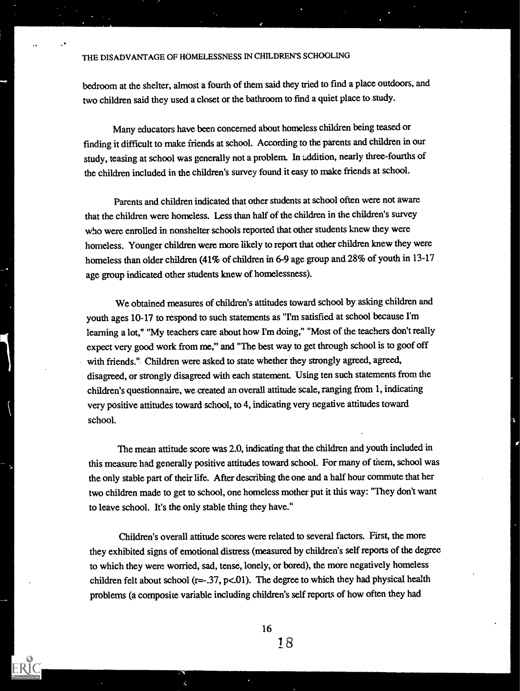# THE DISADVANTAGE OF HOMELESSNESS IN CHILDREN'S SCHOOLING<br>The Disability of the state of finite of them said they tried to find a place outdow

bedroom at the shelter, almost a fourth of them said they tried to find a place outdoors, and two children said they used a closet or the bathroom to find a quiet place to study.

Many educators have been concerned about homeless children being teased or finding it difficult to make friends at school. According to the parents and children in our study, teasing at school was generally not a problem. In addition, nearly three-fourths of the children included in the children's survey found it easy to make friends at school.

Parents and children indicated that other students at school often were not aware that the children were homeless. Less than half of the children in the children's survey who were enrolled in nonshelter schools reported that other students knew they were homeless. Younger children were more likely to report that other children knew they were homeless than older children (41% of children in 6-9 age group and 28% of youth in 13-17 age group indicated other students knew of homelessness).

We obtained measures of children's attitudes toward school by asking children and youth ages 10-17 to respond to such statements as "I'm satisfied at school because I'm learning a lot," "My teachers care about how I'm doing," "Most of the teachers don't really expect very good work from me," and "The best way to get through school is to goof off with friends." Children were asked to state whether they strongly agreed, agreed, disagreed, or strongly disagreed with each statement. Using ten such statements from the children's questionnaire, we created an overall attitude scale, ranging from 1, indicating very positive attitudes toward school, to 4, indicating very negative attitudes toward school.

The mean attitude score was 2.0, indicating that the children and youth included in this measure had generally positive attitudes toward school. For many of them, school was the only stable part of their life. After describing the one and a half hour commute that her two children made to get to school, one homeless mother put it this way: "They don't want to leave school. It's the only stable thing they have."

5

Children's overall attitude scores were related to several factors. First, the more they exhibited signs of emotional distress (measured by children's self reports of the degree to which they were worried, sad, tense, lonely, or bored), the more negatively homeless children felt about school  $(r=-.37, p<.01)$ . The degree to which they had physical health problems (a composite variable including children's self reports of how often they had

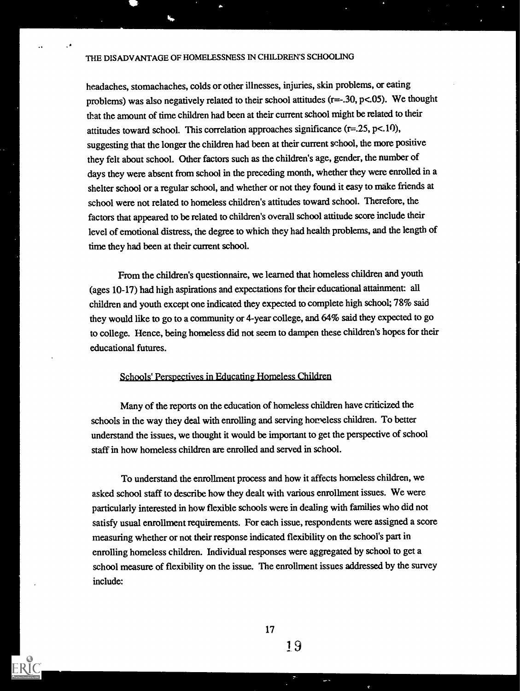headaches, stomachaches, colds or other illnesses, injuries, skin problems, or eating problems) was also negatively related to their school attitudes (r=-.30, p<.05). We thought that the amount of time children had been at their current school might be related to their attitudes toward school. This correlation approaches significance  $(r=.25, p<.10)$ , suggesting that the longer the children had been at their current school, the more positive they felt about school. Other factors such as the children's age, gender, the numberof days they were absent from school in the preceding month, whether they were enrolled in a shelter school or a regular school, and whether or not they found it easy to make friends at school were not related to homeless children's attitudes toward schooL Therefore, the factors that appeared to be related to children's overall school attitude score include their level of emotional distress, the degree to which they had health problems, and the length of time they had been at their current school.

From the children's questionnaire, we learned that homeless children and youth (ages 10-17) had high aspirations and expectations for their educational attainment: all children and youth except one indicated they expected to complete high school; 78% said they would like to go to a community or 4-year college, and 64% said they expected to go to college. Hence, being homeless did not seem to dampen these children's hopes for their educational futures.

#### Schools' Perspectives in Educating Homeless Children

Many of the reports on the education of homeless children have criticized the schools in the way they deal with enrolling and serving homeless children. To better understand the issues, we thought it would be important to get the perspective of school staff in how homeless children are enrolled and served in school.

To understand the enrollment process and how it affects homeless children, we asked school staff to describe how they dealt with various enrollment issues. We were particularly interested in how flexible schools were in dealing with families who did not satisfy usual enrollment requirements. For each issue, respondents were assigned a score measuring whether or not their response indicated flexibility on the school's part in enrolling homeless children. Individual responses were aggregated by school to get a school measure of flexibility on the issue. The enrollment issues addressed by the survey include:

17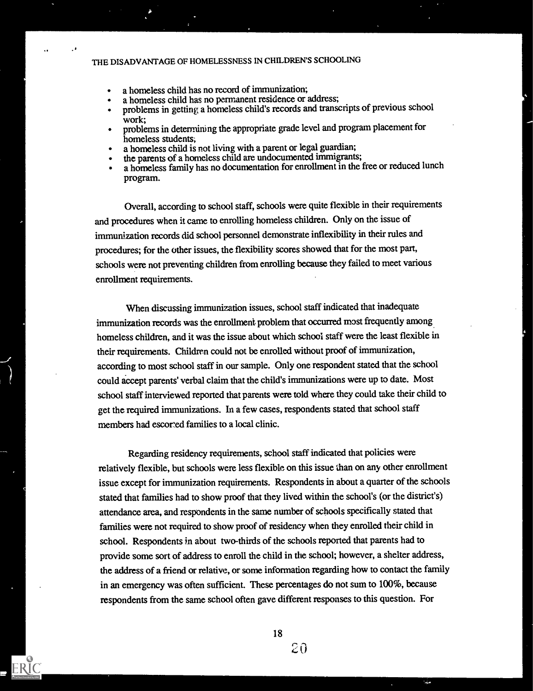- a homeless child has no record of immunization;
- a homeless child has no permanent residence or address;
- problems in getting a homeless child's records and transcripts of previous school work;
- problems in determining the appropriate grade level and program placement for homeless students;
- a homeless child is not living with a parent or legal guardian;
- the parents of a homeless child are undocumented immigrants;
- a homeless family has no documentation for enrollment in the free or reduced lunch program.

Overall, according to school staff, schools were quite flexible in their requirements and procedures when it came to enrolling homeless children. Only on the issue of immunization records did school personnel demonstrate inflexibility in their rules and procedures; for the other issues, the flexibility scores showed that for the most part, schools were not preventing children from enrolling because they failed to meet various enrollment requirements.

When discussing immunization issues, school staff indicated that inadequate immunization records was the enrollment problem that occurred most frequently among homeless children, and it was the issue about which school staff were the least flexible in their requirements. Children could not be enrolled without proof of immunization, according to most school staff in our sample. Only one respondent stated that the school could accept parents' verbal claim that the child's immunizations were up to date. Most school staff interviewed reported that parents were told where they could take their child to get the required immunizations. In a few cases, respondents stated that school staff members had escorted families to a local clinic.

4

Regarding residency requirements, school staff indicated that policies were relatively flexible, but schools were less flexible on this issue than on any other enrollment issue except for immunization requirements. Respondents in about a quarter of the schools stated that families had to show proof that they lived within the school's (or the district's) attendance area, and respondents in the same number of schools specifically stated that families were not required to show proof of residency when they enrolled their child in school. Respondents in about two-thirds of the schools reported that parents had to provide some sort of address to enroll the child in the school; however, a shelter address, the address of a friend or relative, or some information regarding how to contact the family in an emergency was often sufficient. These percentages do not sum to 100%, because respondents from the same school often gave different responses to this question. For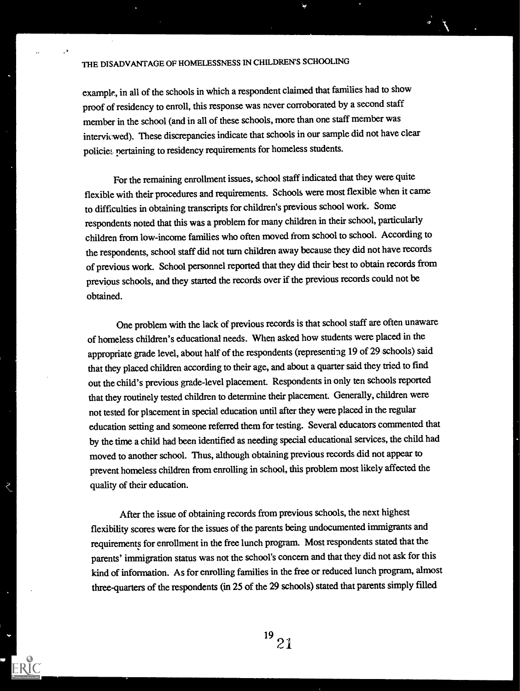$\cdot$ 

example, in all of the schools in which a respondent claimed that families had to show proof of residency to enroll, this response was never corroborated by a second staff member in the school (and in all of these schools, more than one staff member was interviewed). These discrepancies indicate that schools in our sample did not have clear policies pertaining to residency requirements for homeless students.

For the remaining enrollment issues, school staff indicated that they were quite flexible with their procedures and requirements. Schools were most flexible when it came to difficulties in obtaining transcripts for children's previous school work. Some respondents noted that this was a problem for many children in their school, particularly children from low-income families who often moved from school to school. According to the respondents, school staff did not turn children away because they did not have records of previous work. School personnel reported that they did their best to obtain records from previous schools, and they started the records over if the previous records could not be obtained.

One problem with the lack of previous records is that school staff are often unaware of homeless children's educational needs. When asked how students were placed in the appropriate grade level, about half of the respondents (representing 19 of 29 schools) said that they placed children according to their age, and about a quarter said they tried to find out the child's previous grade-level placement. Respondents in only ten schools reported that they routinely tested children to determine their placement. Generally, children were not tested for placement in special education until after they were placed in the regular education setting and someone referred them for testing. Several educators commented that by the time a child had been identified as needing special educational services, the child had moved to another school. Thus, although obtaining previous records did not appear to prevent homeless children from enrolling in school, this problem most likely affected the quality of their education.

After the issue of obtaining records from previous schools, the next highest flexibility scores were for the issues of the parents being undocumented immigrants and requirements for enrollment in the free lunch program. Most respondents stated that the parents' immigration status was not the school's concern and that they did not ask for this kind of information. As for enrolling families in the free or reduced lunch program, almost three-quarters of the respondents (in 25 of the 29 schools) stated that parents simply filled

4r.

 $\lesssim$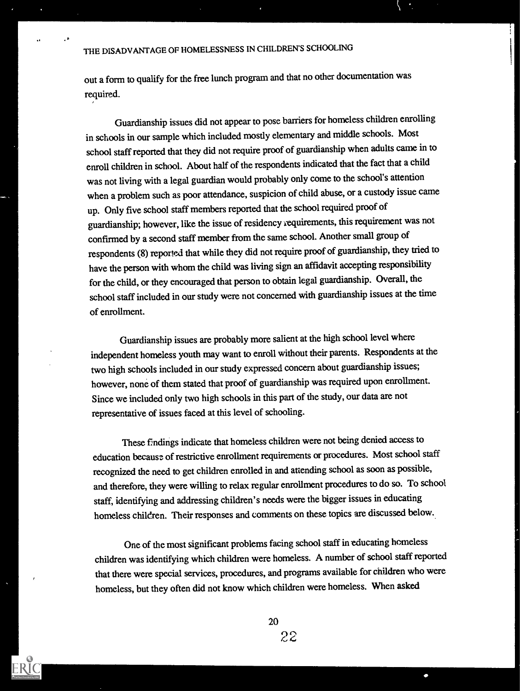out a form to qualify for the free lunch programand that no other documentation was required.

Guardianship issues did not appear to pose barriers for homeless children enrolling in schools in our sample which included mostly elementary and middle schools. Most school staff reported that they did not require proof of guardianship when adults came in to enroll children in school. About half of the respondents indicated that the fact that a child was not living with a legal guardian would probably only come to the school's attention when a problem such as poor attendance, suspicion of child abuse, or a custody issue came up. Only five school staff members reported that the school required proof of guardianship; however, like the issue of residency iequirements, this requirement was not confirmed by a second staff member from the same school. Another small group of respondents (8) reported that while they did not require proof of guardianship, they tried to have the person with whom the child was living sign an affidavit accepting responsibility for the child, or they encouraged that person to obtain legal guardianship. Overall, the school staff included in our study were not concerned with guardianship issues at the time of enrollment.

Guardianship issues are probably more salient at the high school level where independent homeless youth may want to enroll without their parents. Respondents at the two high schools included in our study expressed concern about guardianship issues; however, none of them stated that proof of guardianship was required upon enrollment. Since we included only two high schools in this part of the study, our data are not representative of issues faced at this level of schooling.

These Endings indicate that homeless children were not being denied access to education because of restrictive enrollment requirements or procedures. Most school staff recognized the need to get children enrolled in and attending school as soon as possible, and therefore, they were willing to relax regular enrollment procedures to do so. To school staff, identifying and addressing children's needs were the bigger issues in educating homeless children. Their responses and comments on these topics are discussed below.

One of the most significant problems facing school staff in educating homeless children was identifying which children were homeless. A number of school staff reported that there were special services, procedures, and programs available for children who were homeless, but they often did not know which children were homeless. When asked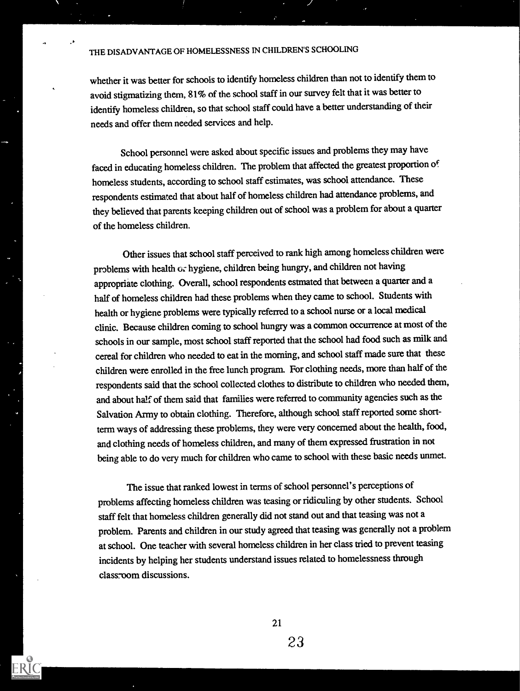4.0

whether it was better for schools to identify homeless children than not to identify them to avoid stigmatizing them, 81% of the school staff in our survey felt that it was better to identify homeless children, so that school staff could have a better understanding of their needs and offer them needed services and help.

School personnel were asked about specific issues and problems they may have faced in educating homeless children. The problem that affected the greatest proportion of homeless students, according to school staff estimates, was school attendance. These respondents estimated that about half of homeless children had attendance problems, and they believed that parents keeping children out of school was a problem for about a quarter of the homeless children.

Other issues that school staff perceived to rank high among homeless children were problems with health  $Gx$  hygiene, children being hungry, and children not having appropriate clothing. Overall, school respondents estmated that between a quarter and a half of homeless children had these problems when they came to school. Students with health or hygiene problems were typically referred to a school nurse or alocal medical clinic. Because children coming to school hungry was a common occurrence at most of the schools in our sample, most school staff reported that the school had food such as milk and cereal for children who needed to eat in the morning, and school staff made sure that these children were enrolled in the free lunch program. For clothing needs, more than half of the respondents said that the school collected clothes to distribute to children who needed them, and about half of them said that families were referred to community agencies such as the Salvation Army to obtain clothing. Therefore, although school staff reported some shortterm ways of addressing these problems, they were very concerned about the health, food, and clothing needs of homeless children, and many of them expressed frustration in not being able to do very much for children who came to school with these basic needs unmet.

The issue that ranked lowest in terms of school personnel's perceptions of problems affecting homeless children was teasing or ridiculing by other students. School staff felt that homeless children generally did not stand out and that teasing was not a problem. Parents and children in our study agreed that teasing was generally not a problem at school. One teacher with several homeless children in her class tried to prevent teasing incidents by helping her students understand issues related to homelessness through clasroom discussions.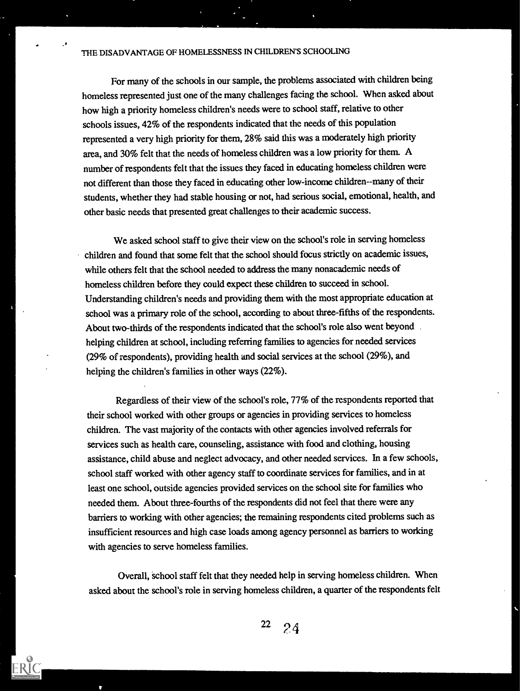For many of the schools in our sample, the problems associated with children being homeless represented just one of the many challenges facing the school. When asked about how high a priority homeless children's needs were to school staff, relative to other schools issues, 42% of the respondents indicated that the needs of this population represented a very high priority for them, 28% said this was a moderately high priority area, and 30% felt that the needs of homeless children was a low priority for them. A number of respondents felt that the issues they faced in educating homeless children were not different than those they faced in educating other low-income children--many of their students, whether they had stable housing or not, had serious social, emotional, health, and other basic needs that presented great challenges to their academic success.

We asked school staff to give their view on the school's role in serving homeless children and found that some felt that the school should focus strictly on academic issues, while others felt that the school needed to address the many nonacademic needs of homeless children before they could expect these children to succeed in school. Understanding children's needs and providing them with the most appropriate education at school was a primary role of the school, according to about three-fifths of the respondents. About two-thirds of the respondents indicated that the school's role also went beyond . helping children at school, including referring families to agencies for needed services (29% of respondents), providing health and social services at the school (29%), and helping the children's families in other ways (22%).

Regardless of their view of the school's role, 77% of the respondents reported that their school worked with other groups or agencies in providing services to homeless children. The vast majority of the contacts with other agencies involved referrals for services such as health care, counseling, assistance with food and clothing, housing assistance, child abuse and neglect advocacy, and other needed services. In a few schools, school staff worked with other agency staff to coordinate services for families, and in at least one school, outside agencies provided services on the school site for families who needed them. About three-fourths of the respondents did not feel that there were any barriers to working with other agencies; the remaining respondents cited problems such as insufficient resources and high case loads among agency personnel as barriers to working with agencies to serve homeless families.

Overall, school staff felt that they needed help in serving homeless children. When asked about the school's role in serving homeless children, a quarter of the respondents felt

 $22 \t24$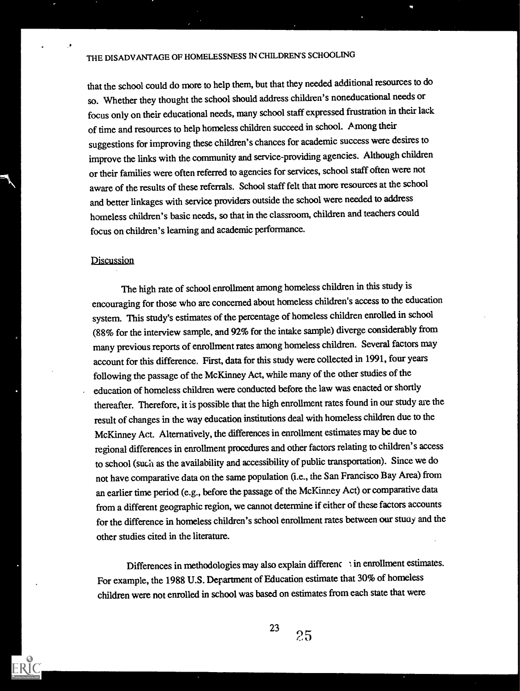that the school could do more to help them, but that they needed additional resources to do so. Whether they thought the school should address children's noneducational needs or focus only on their educational needs, many school staff expressed frustration in their lack of time and resources to help homeless children succeed in school. Among their suggestions for improving these children's chances for academic success were desires to improve the links with the community and service-providing agencies. Although children or their families were often referred to agencies for services, school staff often were not aware of the results of these referrals. School staff felt that more resources at the school and better linkages with service providers outside the school were needed to address homeless children's basic needs, so that in the classroom, children and teachers could focus on children's learning and academic performance.

#### Discussion

The high rate of school enrollment among homeless children in this study is encouraging for those who are concerned about homeless children's access to the education system. This study's estimates of the percentage of homeless children enrolled in school (88% for the interview sample, and 92% for the intake sample) diverge considerably from many previous reports of enrollment rates among homeless children. Several factors may account for this difference. First, data for this study were collected in 1991, four years following the passage of the McKinney Act, while many of the other studies of the education of homeless children were conducted before the law was enacted or shortly thereafter. Therefore, it is possible that the high enrollment rates found in our study are the result of changes in the way education institutions deal with homeless children due to the McKinney Act. Alternatively, the differences in enrollment estimates may be due to regional differences in enrollment procedures and other factors relating to children's access to school (such as the availability and accessibility of public transportafion). Since we do not have comparative data on the same population (i.e., the San Francisco Bay Area) from an earlier time period (e.g., before the passage of the McKinney Act) or comparative data from a different geographic region, we cannot determine if either of these factors accounts for the difference in homeless children's school enrollment rates between our study and the other studies cited in the literature.

Differences in methodologies may also explain differenc  $\rightarrow$  in enrollment estimates. For example, the 1988 U.S. Department of Education estimate that 30% of homeless children were not enrolled in school was based on estimates from each state that were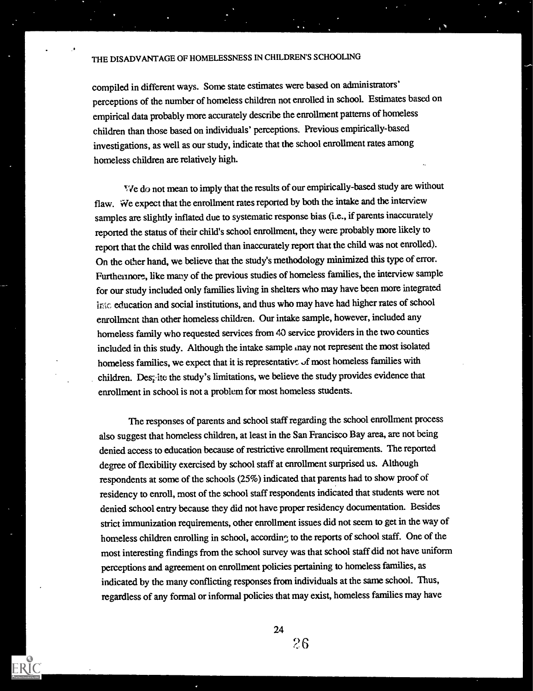compiled in different ways. Some state estimates were based on administrators' perceptions of the number of homeless children not enrolled in school. Estimates based on empirical data probably more accurately describe the enrollment patterns of homeless children than those based on individuals' perceptions. Previous empirically-based investigations, as well as our study, indicate that the school enrollment rates among homeless children are relatively high.

 $\bullet$ .

We do not mean to imply that the results of our empirically-based study are without flaw. We expect that the enrollment rates reported by both the intake and the interview samples are slightly inflated due to systematic response bias (i.e., if parents inaccurately reported the status of their child's school enrollment, they were probably more likely to report that the child was enrolled than inaccurately report that the child was not enrolled). On the other hand, we believe that the study's methodology minimized this type of error. Furthennore, like many of the previous studies of homeless families, the interview sample for our study included only families living in shelters who may have been more integrated in: education and social institutions, and thus who may have had higher rates of school enrollment than other homeless children. Our intake sample, however, included any homeless family who requested services from 40 service providers in the two counties included in this study. Although the intake sample inay not represent the most isolated homeless families, we expect that it is representative  $\sigma$  most homeless families with children. Dest ite the study's limitations, we believe the study provides evidence that enrollment in school is not a problem for most homeless students.

The responses of parents and school staff regarding the school enrollment process also suggest that homeless children, at least in the San Francisco Bay area, are not being denied access to education because of restrictive enrollment requirements. The reported degree of flexibility exercised by school staff at enrollment surprised us. Although respondents at some of the schools (25%) indicated that parents had to show proof of residency to enroll, most of the school staff respondents indicated that students were not denied school entry because they did not have proper residency documentation. Besides strict immunization requirements, other enrollment issues did not seem to get in the way of homeless children enrolling in school, according to the reports of school staff. One of the most interesting findings from the school survey was that schoolstaff did not have uniform perceptions and agreement on enrollment policies pertaining to homeless families, as indicated by the many conflicting responses from individuals at the same school. Thus, regardless of any formal or informal policies that may exist, homeless families may have

24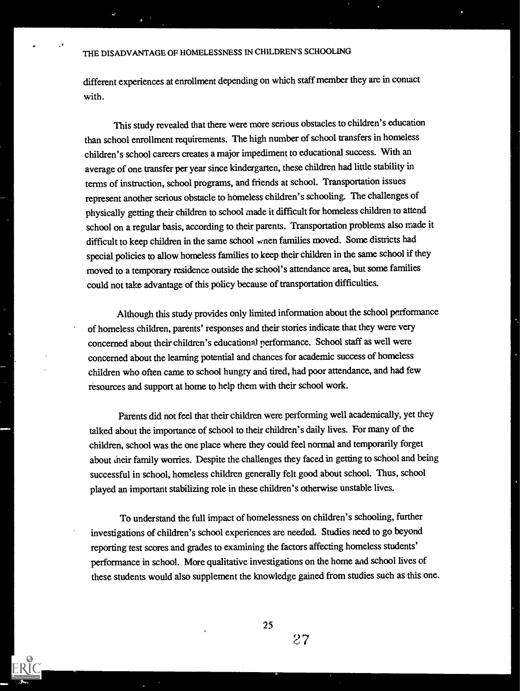different experiences at enrollment depending on which staff member they are in contact with.

This study revealed that there were more serious obstacles to children's education than school enrollment requirements. The high number of school transfers in homeless children's school careers creates a major impediment to educational success. With an average of one transfer per year since kindergarten, these children had little stability in terms of instruction, school programs, and friends at school. Transportation issues represent another serious obstacle to homeless children's schooling. The challenges of physically getting their children to school made it difficult for homeless children to attend school on a regular basis, according to their parents. Transportation problems also made it difficult to keep children in the same school wnen families moved. Somedistricts had special policies to allow homeless families to keep their children in the same school if they moved to a temporary residence outside the school's attendance area, but some families could not take advantage of this policy because of transportation difficulties.

Although this study provides only limited information about the school performance of homeless children, parents' responses and their stories indicate that they were very concerned about their children's educational performance. School staff as well were concerned about the learning potential and chances for academic success of homeless children who often came to school hungry and tired, had poor attendance, and had few resources and support at home to help them with their school work.

Parents did not feel that their children were performing well academically, yet they talked about the importance of school to their children's daily lives. For many of the children, school was the one place where they could feel normal and temporarily forget about their family worries. Despite the challenges they faced in getting to school and being successful in school, homeless children generally felt good about school. Thus, school played an important stabilizing role in these children's otherwise unstable lives.

To understand the full impact of homelessness on children's schooling, further investigations of children's school experiences are needed. Studies need to go beyond reporting test scores and grades to examining the factors affecting homeless students' performance in school. More qualitative investigations on the home and school lives of these students would also supplement the knowledge gained from studies such as this one.

25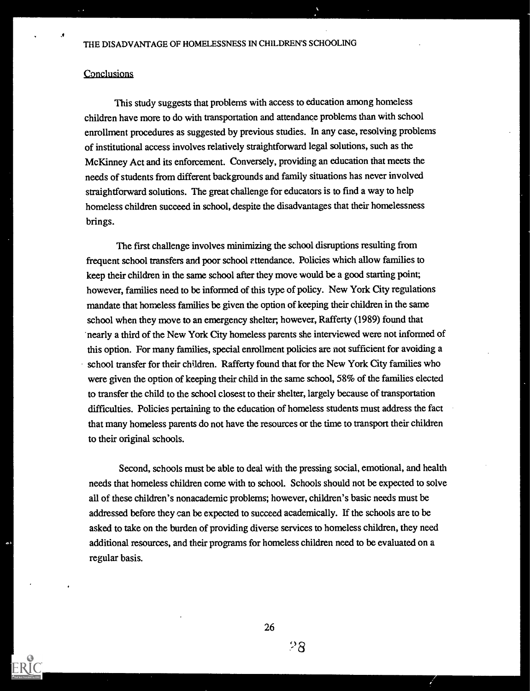# **Conclusions**

.e

This study suggests that problems with access to education among homeless children have more to do with transportation and attendance problems than with school enrollment procedures as suggested by previous studies. In any case, resolving problems of institutional access involves relatively straightforward legal solutions, such as the McKinney Act and its enforcement. Conversely, providing an education that meets the needs of students from different backgrounds and family situations has never involved straightforward solutions. The great challenge for educators is to find a way to help homeless children succeed in school, despite the disadvantages that their homelessness brings.

The first challenge involves minimizing the school disruptions resulting from frequent school transfers and poor school attendance. Policies which allow families to keep their children in the same school after they move would be a good starting point; however, families need to be informed of this type of policy. New York City regulations mandate that homeless families be given the option of keeping their children in the same school when they move to an emergency shelter, however, Rafferty (1989) found that 'nearly a third of the New York City homeless parents she interviewed were not informed of this option. For many families, special enrollment policies are not sufficient for avoiding a school transfer for their children. Rafferty found that for the New York City families who were given the option of keeping their child in the same school, 58% of the families elected to transfer the child to the school closest to their shelter, largely because of transportation difficulties. Policies pertaining to the education of homeless students must address the fact that many homeless parents do not have the resources or the time to transport their children to their original schools.

Second, schools must be able to deal with the pressing social, emotional, and health needs that homeless children come with to school. Schools should not be expected to solve all of these children's nonacademic problems; however, children's basic needs must be addressed before they can be expected to succeed academically. If the schools are to be asked to take on the burden of providing diverse services to homeless children, they need additional resources, and their programs for homeless children need to be evaluated on a regular basis.

26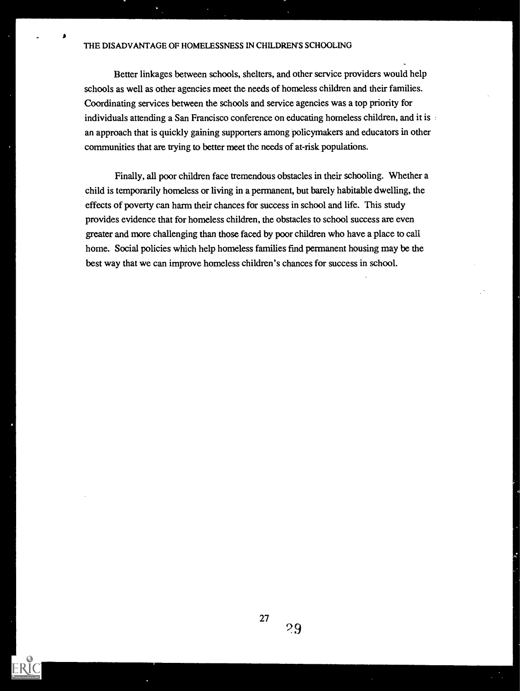Better linkages between schools, shelters, and other service providers would help schools as well as other agencies meet the needs of homeless children and their families. Coordinating services between the schools and service agencies was a top priority for individuals attending a San Francisco conference on educating homeless children, and it is an approach that is quickly gaining supporters among policymakers and educators in other communities that are trying to better meet the needs of at-risk populations.

Finally, all poor children face tremendous obstacles in their schooling. Whether a child is temporarily homeless or living in a permanent, but barely habitable dwelling, the effects of poverty can harm their chances for success in school and life. This study provides evidence that for homeless children, the obstacles to school success are even greater and more challenging than those faced by poor children who have a place to call home. Social policies which help homeless families find permanent housing may be the best way that we can improve homeless children's chances for success in school.